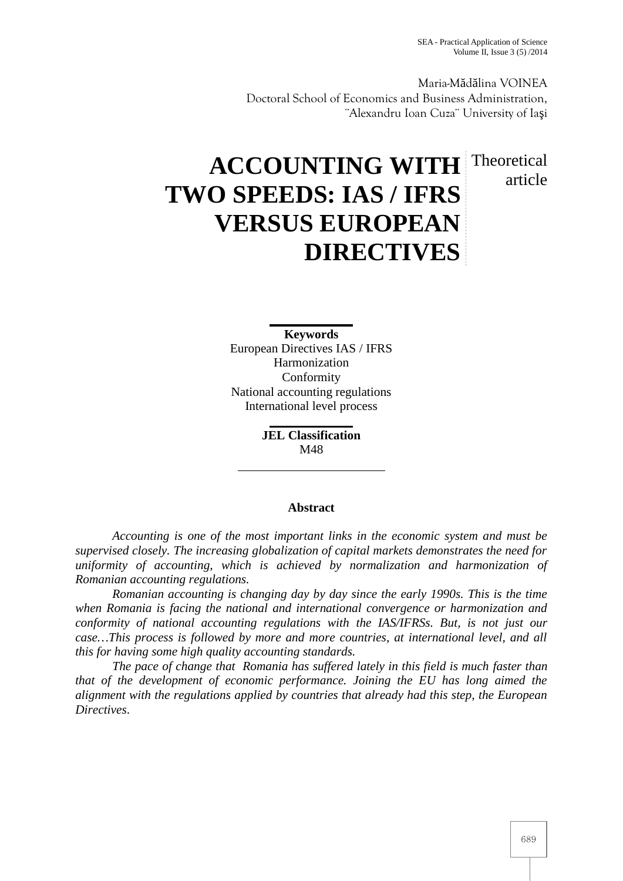Maria-M d lina VOINEA Doctoral School of Economics and Business Administration, ¨Alexandru Ioan Cuza¨ University of Ia i

# **ACCOUNTING WITH** Theoretical **TWO SPEEDS: IAS / IFRS VERSUS EUROPEAN DIRECTIVES** article

**Keywords** European Directives IAS / IFRS Harmonization Conformity National accounting regulations International level process

> **JEL Classification** M48

# **Abstract**

*Accounting is one of the most important links in the economic system and must be supervised closely. The increasing globalization of capital markets demonstrates the need for uniformity of accounting, which is achieved by normalization and harmonization of Romanian accounting regulations.*

*Romanian accounting is changing day by day since the early 1990s. This is the time when Romania is facing the national and international convergence or harmonization and conformity of national accounting regulations with the IAS/IFRSs. But, is not just our case…This process is followed by more and more countries, at international level, and all this for having some high quality accounting standards.*

*The pace of change that Romania has suffered lately in this field is much faster than that of the development of economic performance. Joining the EU has long aimed the alignment with the regulations applied by countries that already had this step, the European Directives*.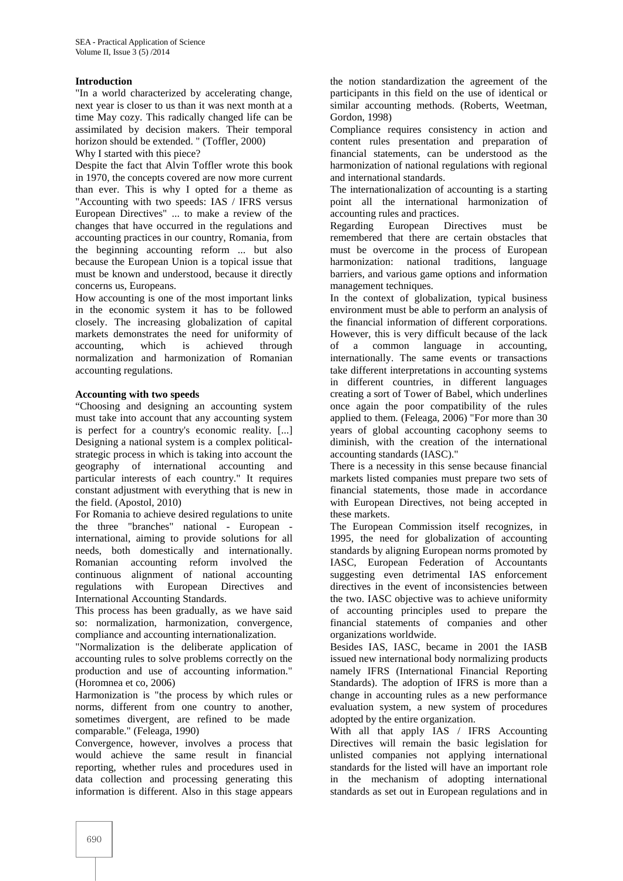# **Introduction**

"In a world characterized by accelerating change, next year is closer to us than it was next month at a time May cozy. This radically changed life can be assimilated by decision makers. Their temporal horizon should be extended. " (Toffler, 2000)

Why I started with this piece?

Despite the fact that Alvin Toffler wrote this book in 1970, the concepts covered are now more current than ever. This is why I opted for a theme as "Accounting with two speeds: IAS / IFRS versus European Directives" ... to make a review of the changes that have occurred in the regulations and accounting practices in our country, Romania, from the beginning accounting reform ... but also because the European Union is a topical issue that must be known and understood, because it directly concerns us, Europeans.

How accounting is one of the most important links in the economic system it has to be followed closely. The increasing globalization of capital markets demonstrates the need for uniformity of accounting, which is achieved through normalization and harmonization of Romanian accounting regulations.

### **Accounting with two speeds**

"Choosing and designing an accounting system must take into account that any accounting system is perfect for a country's economic reality. [...] Designing a national system is a complex political strategic process in which is taking into account the geography of international accounting and particular interests of each country." It requires constant adjustment with everything that is new in the field. (Apostol, 2010)

For Romania to achieve desired regulations to unite the three "branches" national - European international, aiming to provide solutions for all needs, both domestically and internationally. Romanian accounting reform involved the continuous alignment of national accounting regulations with European Directives and International Accounting Standards.

This process has been gradually, as we have said so: normalization, harmonization, convergence, compliance and accounting internationalization.

"Normalization is the deliberate application of accounting rules to solve problems correctly on the production and use of accounting information." (Horomnea et co, 2006)

Harmonization is "the process by which rules or norms, different from one country to another, sometimes divergent, are refined to be made comparable." (Feleaga, 1990)

Convergence, however, involves a process that would achieve the same result in financial reporting, whether rules and procedures used in data collection and processing generating this information is different. Also in this stage appears

the notion standardization the agreement of the participants in this field on the use of identical or similar accounting methods. (Roberts, Weetman, Gordon, 1998)

Compliance requires consistency in action and content rules presentation and preparation of financial statements, can be understood as the harmonization of national regulations with regional and international standards.

The internationalization of accounting is a starting point all the international harmonization of accounting rules and practices.

European Directives must be remembered that there are certain obstacles that must be overcome in the process of European harmonization: national traditions, language barriers, and various game options and information management techniques.

In the context of globalization, typical business environment must be able to perform an analysis of the financial information of different corporations. However, this is very difficult because of the lack of a common language in accounting, internationally. The same events or transactions take different interpretations in accounting systems in different countries, in different languages creating a sort of Tower of Babel, which underlines once again the poor compatibility of the rules applied to them. (Feleaga, 2006) "For more than 30 years of global accounting cacophony seems to diminish, with the creation of the international accounting standards (IASC)."

There is a necessity in this sense because financial markets listed companies must prepare two sets of financial statements, those made in accordance with European Directives, not being accepted in these markets.

The European Commission itself recognizes, in 1995, the need for globalization of accounting standards by aligning European norms promoted by IASC, European Federation of Accountants suggesting even detrimental IAS enforcement directives in the event of inconsistencies between the two. IASC objective was to achieve uniformity of accounting principles used to prepare the financial statements of companies and other organizations worldwide.

Besides IAS, IASC, became in 2001 the IASB issued new international body normalizing products namely IFRS (International Financial Reporting Standards). The adoption of IFRS is more than a change in accounting rules as a new performance evaluation system, a new system of procedures adopted by the entire organization.

With all that apply IAS / IFRS Accounting Directives will remain the basic legislation for unlisted companies not applying international standards for the listed will have an important role in the mechanism of adopting international standards as set out in European regulations and in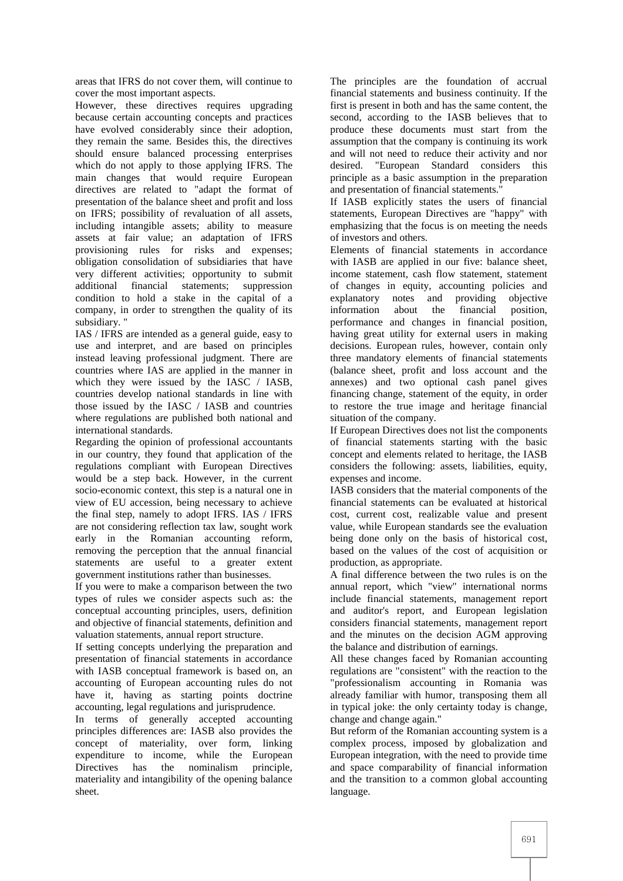areas that IFRS do not cover them, will continue to cover the most important aspects.

However, these directives requires upgrading because certain accounting concepts and practices have evolved considerably since their adoption, they remain the same. Besides this, the directives should ensure balanced processing enterprises which do not apply to those applying IFRS. The main changes that would require European directives are related to "adapt the format of presentation of the balance sheet and profit and loss on IFRS; possibility of revaluation of all assets, including intangible assets; ability to measure assets at fair value; an adaptation of IFRS provisioning rules for risks and expenses; obligation consolidation of subsidiaries that have very different activities; opportunity to submit financial statements: condition to hold a stake in the capital of a company, in order to strengthen the quality of its subsidiary.

IAS / IFRS are intended as a general guide, easy to use and interpret, and are based on principles instead leaving professional judgment. There are countries where IAS are applied in the manner in which they were issued by the IASC / IASB, countries develop national standards in line with those issued by the IASC / IASB and countries where regulations are published both national and international standards.

Regarding the opinion of professional accountants in our country, they found that application of the regulations compliant with European Directives would be a step back. However, in the current socio-economic context, this step is a natural one in view of EU accession, being necessary to achieve the final step, namely to adopt IFRS. IAS / IFRS are not considering reflection tax law, sought work early in the Romanian accounting reform, removing the perception that the annual financial statements are useful to a greater extent government institutions rather than businesses.

If you were to make a comparison between the two types of rules we consider aspects such as: the conceptual accounting principles, users, definition and objective of financial statements, definition and valuation statements, annual report structure.

If setting concepts underlying the preparation and presentation of financial statements in accordance with IASB conceptual framework is based on, an accounting of European accounting rules do not have it, having as starting points doctrine accounting, legal regulations and jurisprudence.

In terms of generally accepted accounting principles differences are: IASB also provides the concept of materiality, over form, linking expenditure to income, while the European Directives has the nominalism principle, materiality and intangibility of the opening balance sheet.

The principles are the foundation of accrual financial statements and business continuity. If the first is present in both and has the same content, the second, according to the IASB believes that to produce these documents must start from the assumption that the company is continuing its work and will not need to reduce their activity and nor<br>desired. "European Standard considers this "European Standard considers this principle as a basic assumption in the preparation and presentation of financial statements."

If IASB explicitly states the users of financial statements, European Directives are "happy" with emphasizing that the focus is on meeting the needs of investors and others.

Elements of financial statements in accordance with IASB are applied in our five: balance sheet, income statement, cash flow statement, statement of changes in equity, accounting policies and explanatory notes and providing objective information about the financial position, performance and changes in financial position, having great utility for external users in making decisions. European rules, however, contain only three mandatory elements of financial statements (balance sheet, profit and loss account and the annexes) and two optional cash panel gives financing change, statement of the equity, in order to restore the true image and heritage financial situation of the company.

If European Directives does not list the components of financial statements starting with the basic concept and elements related to heritage, the IASB considers the following: assets, liabilities, equity, expenses and income.

IASB considers that the material components of the financial statements can be evaluated at historical cost, current cost, realizable value and present value, while European standards see the evaluation being done only on the basis of historical cost, based on the values of the cost of acquisition or production, as appropriate.

A final difference between the two rules is on the annual report, which "view" international norms include financial statements, management report and auditor's report, and European legislation considers financial statements, management report and the minutes on the decision AGM approving the balance and distribution of earnings.

All these changes faced by Romanian accounting regulations are "consistent" with the reaction to the "professionalism accounting in Romania was already familiar with humor, transposing them all in typical joke: the only certainty today is change, change and change again."

But reform of the Romanian accounting system is a complex process, imposed by globalization and European integration, with the need to provide time and space comparability of financial information and the transition to a common global accounting language.